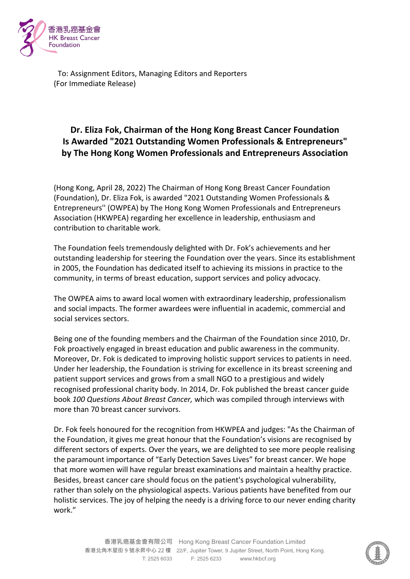

To: Assignment Editors, Managing Editors and Reporters (For Immediate Release)

## **Dr. Eliza Fok, Chairman of the Hong Kong Breast Cancer Foundation Is Awarded "2021 Outstanding Women Professionals & Entrepreneurs" by The Hong Kong Women Professionals and Entrepreneurs Association**

(Hong Kong, April 28, 2022) The Chairman of Hong Kong Breast Cancer Foundation (Foundation), Dr. Eliza Fok, is awarded "2021 Outstanding Women Professionals & Entrepreneurs'' (OWPEA) by The Hong Kong Women Professionals and Entrepreneurs Association (HKWPEA) regarding her excellence in leadership, enthusiasm and contribution to charitable work.

The Foundation feels tremendously delighted with Dr. Fok's achievements and her outstanding leadership for steering the Foundation over the years. Since its establishment in 2005, the Foundation has dedicated itself to achieving its missions in practice to the community, in terms of breast education, support services and policy advocacy.

The OWPEA aims to award local women with extraordinary leadership, professionalism and social impacts. The former awardees were influential in academic, commercial and social services sectors.

Being one of the founding members and the Chairman of the Foundation since 2010, Dr. Fok proactively engaged in breast education and public awareness in the community. Moreover, Dr. Fok is dedicated to improving holistic support services to patients in need. Under her leadership, the Foundation is striving for excellence in its breast screening and patient support services and grows from a small NGO to a prestigious and widely recognised professional charity body. In 2014, Dr. Fok published the breast cancer guide book *100 Questions About Breast Cancer,* which was compiled through interviews with more than 70 breast cancer survivors.

Dr. Fok feels honoured for the recognition from HKWPEA and judges: "As the Chairman of the Foundation, it gives me great honour that the Foundation's visions are recognised by different sectors of experts. Over the years, we are delighted to see more people realising the paramount importance of "Early Detection Saves Lives" for breast cancer. We hope that more women will have regular breast examinations and maintain a healthy practice. Besides, breast cancer care should focus on the patient's psychological vulnerability, rather than solely on the physiological aspects. Various patients have benefited from our holistic services. The joy of helping the needy is a driving force to our never ending charity work."

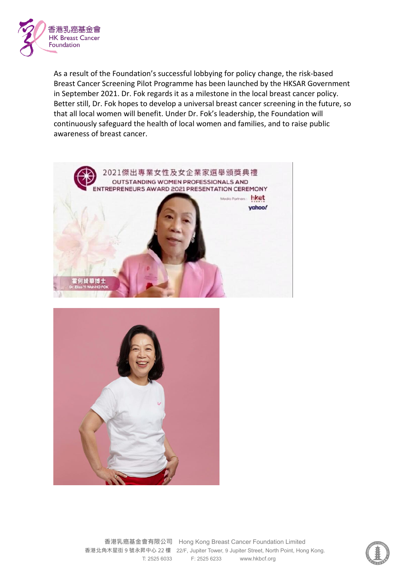

As a result of the Foundation's successful lobbying for policy change, the risk-based Breast Cancer Screening Pilot Programme has been launched by the HKSAR Government in September 2021. Dr. Fok regards it as a milestone in the local breast cancer policy. Better still, Dr. Fok hopes to develop a universal breast cancer screening in the future, so that all local women will benefit. Under Dr. Fok's leadership, the Foundation will continuously safeguard the health of local women and families, and to raise public awareness of breast cancer.